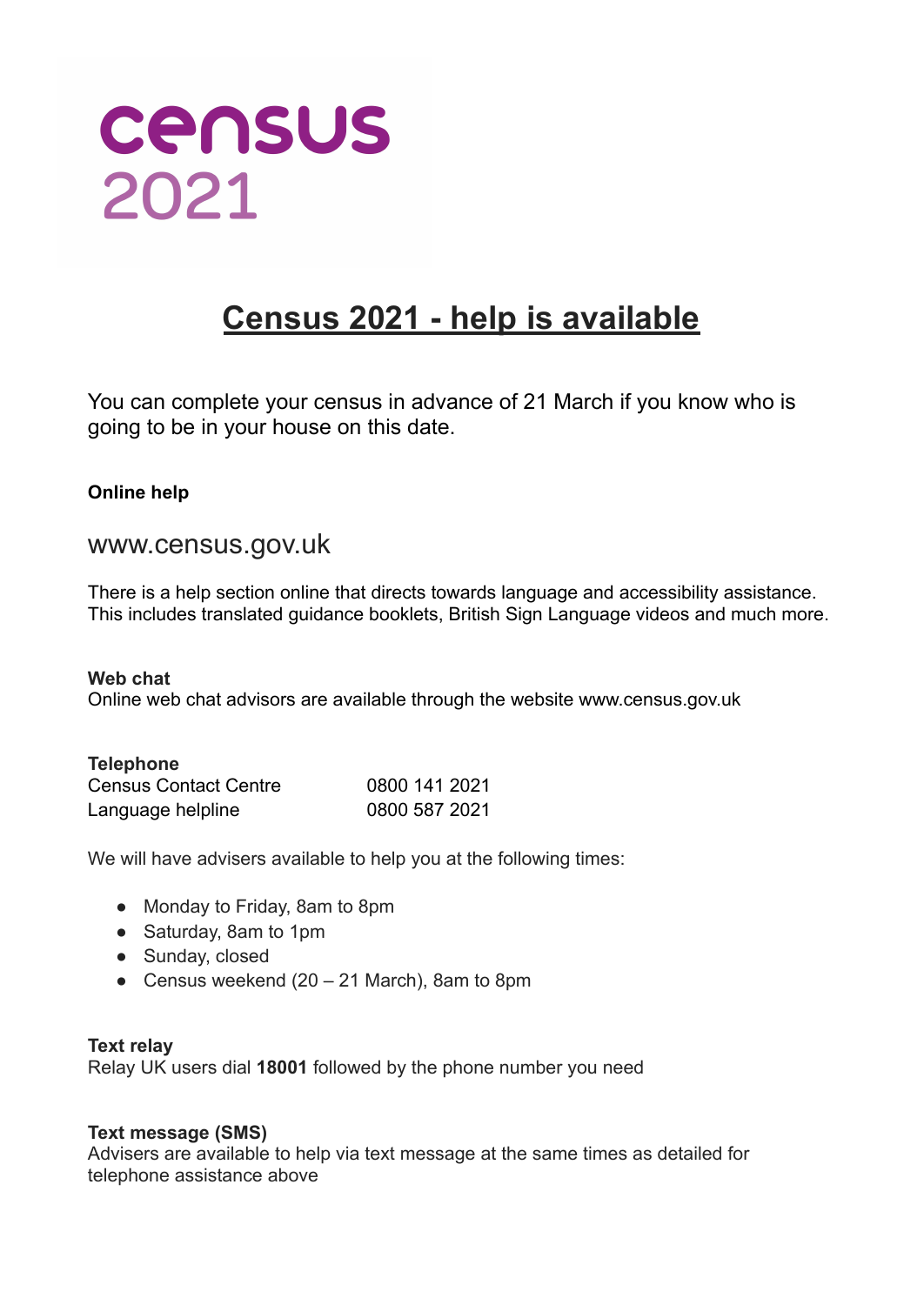

## **Census 2021 - help is available**

You can complete your census in advance of 21 March if you know who is going to be in your house on this date.

#### **Online help**

### www.census.gov.uk

There is a help section online that directs towards language and accessibility assistance. This includes translated guidance booklets, British Sign Language videos and much more.

**Web chat** Online web chat advisors are available through the website www.census.gov.uk

| <b>Telephone</b>             |               |
|------------------------------|---------------|
| <b>Census Contact Centre</b> | 0800 141 2021 |
| Language helpline            | 0800 587 2021 |

We will have advisers available to help you at the following times:

- Monday to Friday, 8am to 8pm
- Saturday, 8am to 1pm
- Sunday, closed
- Census weekend  $(20 21$  March), 8am to 8pm

#### **Text relay**

Relay UK users dial **18001** followed by the phone number you need

#### **Text message (SMS)**

Advisers are available to help via text message at the same times as detailed for telephone assistance above